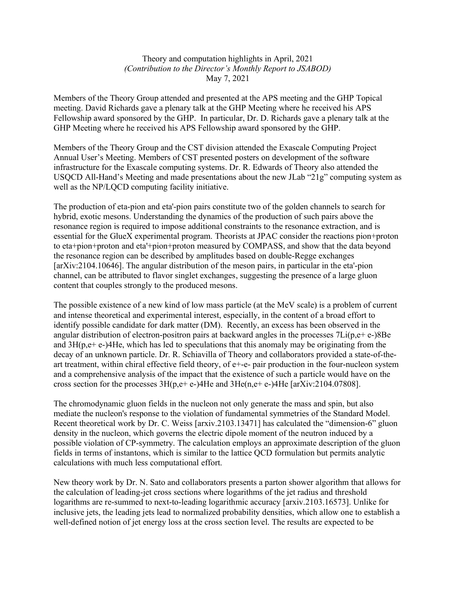Theory and computation highlights in April, 2021 *(Contribution to the Director's Monthly Report to JSABOD)* May 7, 2021

Members of the Theory Group attended and presented at the APS meeting and the GHP Topical meeting. David Richards gave a plenary talk at the GHP Meeting where he received his APS Fellowship award sponsored by the GHP. In particular, Dr. D. Richards gave a plenary talk at the GHP Meeting where he received his APS Fellowship award sponsored by the GHP.

Members of the Theory Group and the CST division attended the Exascale Computing Project Annual User's Meeting. Members of CST presented posters on development of the software infrastructure for the Exascale computing systems. Dr. R. Edwards of Theory also attended the USQCD All-Hand's Meeting and made presentations about the new JLab "21g" computing system as well as the NP/LQCD computing facility initiative.

The production of eta-pion and eta'-pion pairs constitute two of the golden channels to search for hybrid, exotic mesons. Understanding the dynamics of the production of such pairs above the resonance region is required to impose additional constraints to the resonance extraction, and is essential for the GlueX experimental program. Theorists at JPAC consider the reactions pion+proton to eta+pion+proton and eta'+pion+proton measured by COMPASS, and show that the data beyond the resonance region can be described by amplitudes based on double-Regge exchanges [arXiv:2104.10646]. The angular distribution of the meson pairs, in particular in the eta'-pion channel, can be attributed to flavor singlet exchanges, suggesting the presence of a large gluon content that couples strongly to the produced mesons.

The possible existence of a new kind of low mass particle (at the MeV scale) is a problem of current and intense theoretical and experimental interest, especially, in the content of a broad effort to identify possible candidate for dark matter (DM). Recently, an excess has been observed in the angular distribution of electron-positron pairs at backward angles in the processes 7Li(p,e+ e-)8Be and  $3H(p,e+e-)$  4He, which has led to speculations that this anomaly may be originating from the decay of an unknown particle. Dr. R. Schiavilla of Theory and collaborators provided a state-of-theart treatment, within chiral effective field theory, of e+-e- pair production in the four-nucleon system and a comprehensive analysis of the impact that the existence of such a particle would have on the cross section for the processes  $3H(p,e+e-)$ 4He and  $3He(n,e+e-)$ 4He [arXiv:2104.07808].

The chromodynamic gluon fields in the nucleon not only generate the mass and spin, but also mediate the nucleon's response to the violation of fundamental symmetries of the Standard Model. Recent theoretical work by Dr. C. Weiss [arxiv.2103.13471] has calculated the "dimension-6" gluon density in the nucleon, which governs the electric dipole moment of the neutron induced by a possible violation of CP-symmetry. The calculation employs an approximate description of the gluon fields in terms of instantons, which is similar to the lattice QCD formulation but permits analytic calculations with much less computational effort.

New theory work by Dr. N. Sato and collaborators presents a parton shower algorithm that allows for the calculation of leading-jet cross sections where logarithms of the jet radius and threshold logarithms are re-summed to next-to-leading logarithmic accuracy [arxiv.2103.16573]. Unlike for inclusive jets, the leading jets lead to normalized probability densities, which allow one to establish a well-defined notion of jet energy loss at the cross section level. The results are expected to be